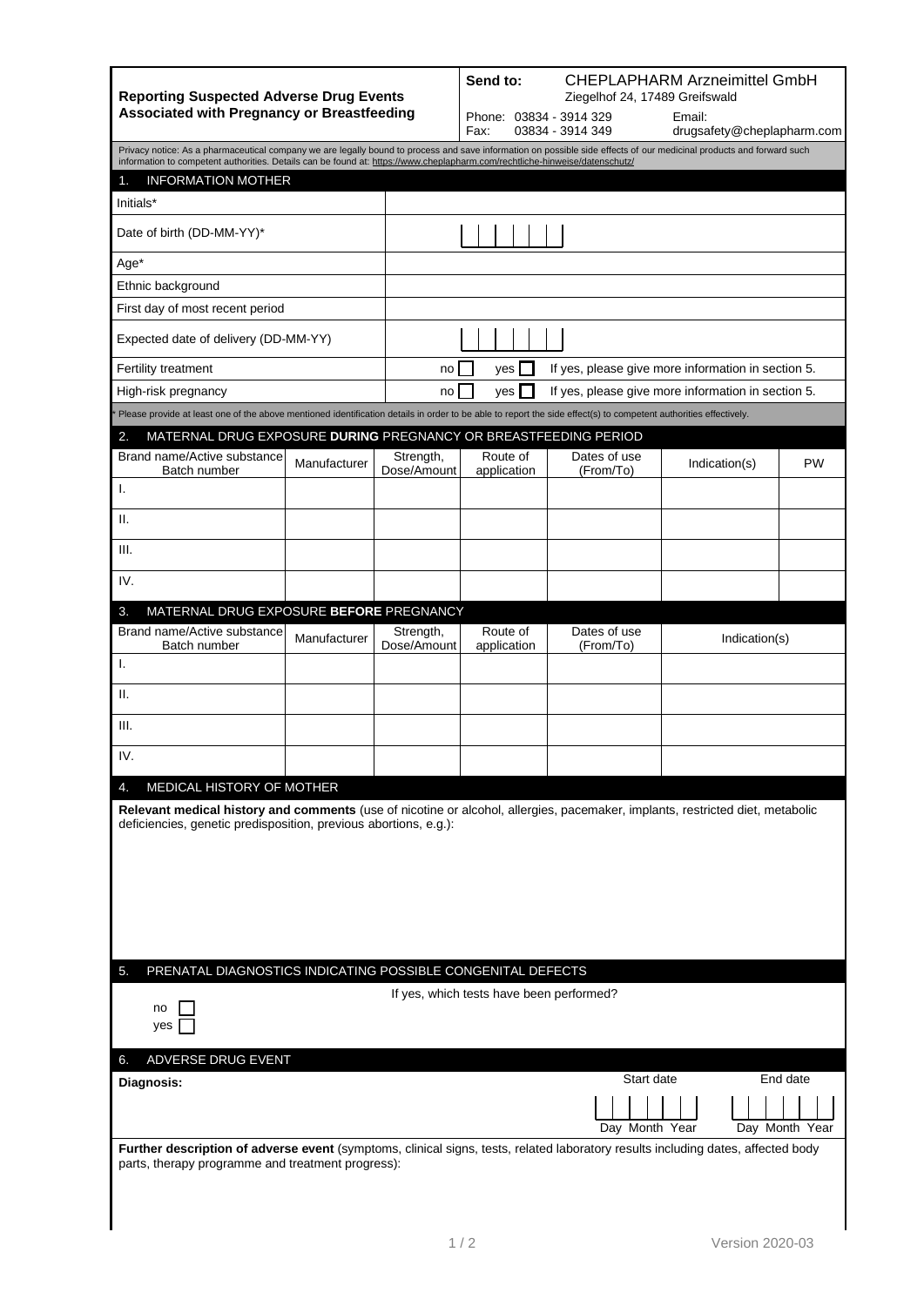| <b>Reporting Suspected Adverse Drug Events</b><br><b>Associated with Pregnancy or Breastfeeding</b>                                                                                                                                                                                                 |                          | <b>CHEPLAPHARM Arzneimittel GmbH</b><br>Send to:<br>Ziegelhof 24, 17489 Greifswald |                                                          |               |                            |  |  |  |
|-----------------------------------------------------------------------------------------------------------------------------------------------------------------------------------------------------------------------------------------------------------------------------------------------------|--------------------------|------------------------------------------------------------------------------------|----------------------------------------------------------|---------------|----------------------------|--|--|--|
|                                                                                                                                                                                                                                                                                                     |                          | Phone: 03834 - 3914 329<br>Fax:                                                    | Email:<br>03834 - 3914 349<br>drugsafety@cheplapharm.com |               |                            |  |  |  |
| Privacy notice: As a pharmaceutical company we are legally bound to process and save information on possible side effects of our medicinal products and forward such<br>information to competent authorities. Details can be found at: https://www.cheplapharm.com/rechtliche-hinweise/datenschutz/ |                          |                                                                                    |                                                          |               |                            |  |  |  |
| <b>INFORMATION MOTHER</b><br>1.                                                                                                                                                                                                                                                                     |                          |                                                                                    |                                                          |               |                            |  |  |  |
| Initials*                                                                                                                                                                                                                                                                                           |                          |                                                                                    |                                                          |               |                            |  |  |  |
| Date of birth (DD-MM-YY)*                                                                                                                                                                                                                                                                           |                          |                                                                                    |                                                          |               |                            |  |  |  |
| Age*                                                                                                                                                                                                                                                                                                |                          |                                                                                    |                                                          |               |                            |  |  |  |
| Ethnic background                                                                                                                                                                                                                                                                                   |                          |                                                                                    |                                                          |               |                            |  |  |  |
| First day of most recent period                                                                                                                                                                                                                                                                     |                          |                                                                                    |                                                          |               |                            |  |  |  |
| Expected date of delivery (DD-MM-YY)                                                                                                                                                                                                                                                                |                          |                                                                                    |                                                          |               |                            |  |  |  |
| Fertility treatment                                                                                                                                                                                                                                                                                 | no                       | If yes, please give more information in section 5.<br>yes                          |                                                          |               |                            |  |  |  |
| High-risk pregnancy                                                                                                                                                                                                                                                                                 | no                       | If yes, please give more information in section 5.<br>ves                          |                                                          |               |                            |  |  |  |
| Please provide at least one of the above mentioned identification details in order to be able to report the side effect(s) to competent authorities effectively.                                                                                                                                    |                          |                                                                                    |                                                          |               |                            |  |  |  |
| 2.<br>MATERNAL DRUG EXPOSURE DURING PREGNANCY OR BREASTFEEDING PERIOD<br>Brand name/Active substance                                                                                                                                                                                                | Strength,                | Route of                                                                           | Dates of use                                             |               |                            |  |  |  |
| Manufacturer<br>Batch number<br>Ι.                                                                                                                                                                                                                                                                  | Dose/Amount              | application                                                                        | (From/To)                                                | Indication(s) | <b>PW</b>                  |  |  |  |
| Ш.                                                                                                                                                                                                                                                                                                  |                          |                                                                                    |                                                          |               |                            |  |  |  |
| III.                                                                                                                                                                                                                                                                                                |                          |                                                                                    |                                                          |               |                            |  |  |  |
| IV.                                                                                                                                                                                                                                                                                                 |                          |                                                                                    |                                                          |               |                            |  |  |  |
| MATERNAL DRUG EXPOSURE BEFORE PREGNANCY<br>3.                                                                                                                                                                                                                                                       |                          |                                                                                    |                                                          |               |                            |  |  |  |
| Brand name/Active substance<br>Manufacturer<br>Batch number                                                                                                                                                                                                                                         | Strength,<br>Dose/Amount | Route of<br>application                                                            | Dates of use<br>(From/To)                                | Indication(s) |                            |  |  |  |
| T.                                                                                                                                                                                                                                                                                                  |                          |                                                                                    |                                                          |               |                            |  |  |  |
| Ш.                                                                                                                                                                                                                                                                                                  |                          |                                                                                    |                                                          |               |                            |  |  |  |
| III.                                                                                                                                                                                                                                                                                                |                          |                                                                                    |                                                          |               |                            |  |  |  |
| IV.                                                                                                                                                                                                                                                                                                 |                          |                                                                                    |                                                          |               |                            |  |  |  |
| MEDICAL HISTORY OF MOTHER<br>4.                                                                                                                                                                                                                                                                     |                          |                                                                                    |                                                          |               |                            |  |  |  |
| Relevant medical history and comments (use of nicotine or alcohol, allergies, pacemaker, implants, restricted diet, metabolic<br>deficiencies, genetic predisposition, previous abortions, e.g.):                                                                                                   |                          |                                                                                    |                                                          |               |                            |  |  |  |
| PRENATAL DIAGNOSTICS INDICATING POSSIBLE CONGENITAL DEFECTS<br>5.                                                                                                                                                                                                                                   |                          |                                                                                    |                                                          |               |                            |  |  |  |
| If yes, which tests have been performed?<br>no<br>yes                                                                                                                                                                                                                                               |                          |                                                                                    |                                                          |               |                            |  |  |  |
| ADVERSE DRUG EVENT<br>6.                                                                                                                                                                                                                                                                            |                          |                                                                                    |                                                          |               |                            |  |  |  |
| Diagnosis:                                                                                                                                                                                                                                                                                          |                          |                                                                                    | Start date<br>Day Month Year                             |               | End date<br>Day Month Year |  |  |  |
| Further description of adverse event (symptoms, clinical signs, tests, related laboratory results including dates, affected body<br>parts, therapy programme and treatment progress):                                                                                                               |                          |                                                                                    |                                                          |               |                            |  |  |  |